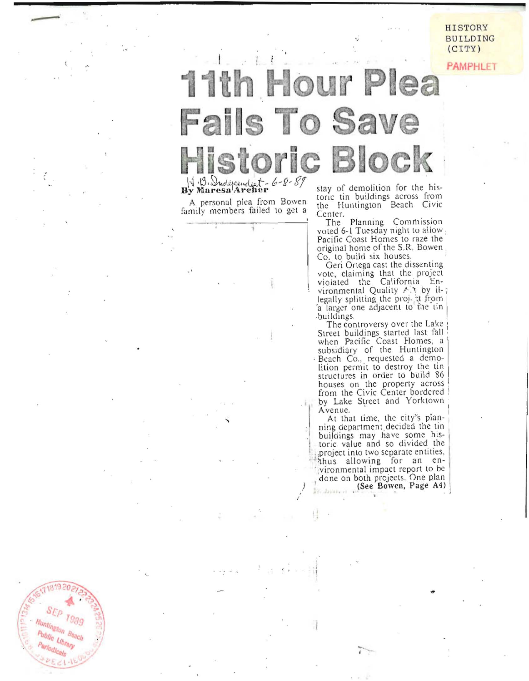HISTORY **BUILDING**  $(CITY)$ 

**PAMPHLET** 

## 11th Hour Plea **Fails To Save Historic Block** H. B. Independent - 6-8-89

A personal plea from Bowen family members failed to get a

 $55p$ 

 $Ig_{\partial \mathcal{G}}$ Huntington Beach Public Library

stay of demolition for the historic tin buildings across from<br>the Huntington Beach Civic Center.

The Planning Commission voted 6-1 Tuesday night to allow Pacific Coast Homes to raze the original home of the S.R. Bowen Co. to build six houses.

Geri Ortega cast the dissenting vote, claiming that the project<br>violated the California Environmental Quality A.A by illegally splitting the project from a larger one adjacent to the tin buildings.

The controversy over the Lake Street buildings started last fall when Pacific Coast Homes, a subsidiary of the Huntington Beach Co., requested a demolition permit to destroy the tin structures in order to build 86 houses on the property across<br>from the Civic Center bordered by Lake Street and Yorktown Avenue.

At that time, the city's planning department decided the tin buildings may have some historic value and so divided the project into two separate entities, thus allowing for an environmental impact report to be done on both projects. One plan (See Bowen, Page A4)